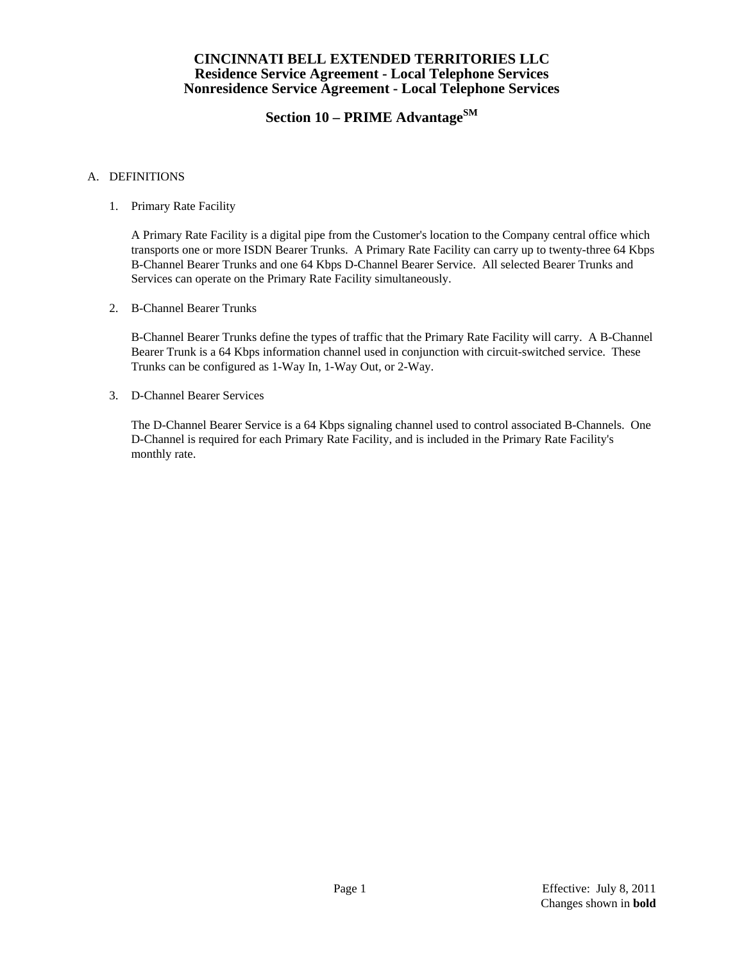# **Section 10 – PRIME AdvantageSM**

#### A. DEFINITIONS

1. Primary Rate Facility

 A Primary Rate Facility is a digital pipe from the Customer's location to the Company central office which transports one or more ISDN Bearer Trunks. A Primary Rate Facility can carry up to twenty-three 64 Kbps B-Channel Bearer Trunks and one 64 Kbps D-Channel Bearer Service. All selected Bearer Trunks and Services can operate on the Primary Rate Facility simultaneously.

2. B-Channel Bearer Trunks

 B-Channel Bearer Trunks define the types of traffic that the Primary Rate Facility will carry. A B-Channel Bearer Trunk is a 64 Kbps information channel used in conjunction with circuit-switched service. These Trunks can be configured as 1-Way In, 1-Way Out, or 2-Way.

3. D-Channel Bearer Services

 The D-Channel Bearer Service is a 64 Kbps signaling channel used to control associated B-Channels. One D-Channel is required for each Primary Rate Facility, and is included in the Primary Rate Facility's monthly rate.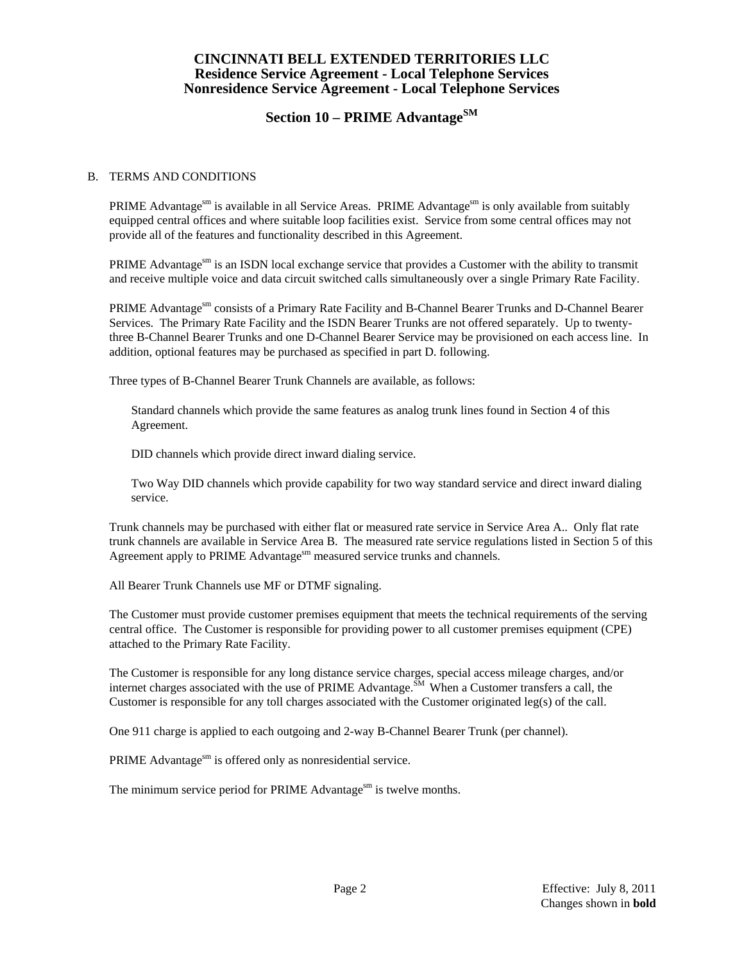# **Section 10 – PRIME AdvantageSM**

#### B. TERMS AND CONDITIONS

PRIME Advantage<sup>sm</sup> is available in all Service Areas. PRIME Advantage<sup>sm</sup> is only available from suitably equipped central offices and where suitable loop facilities exist. Service from some central offices may not provide all of the features and functionality described in this Agreement.

PRIME Advantage<sup>sm</sup> is an ISDN local exchange service that provides a Customer with the ability to transmit and receive multiple voice and data circuit switched calls simultaneously over a single Primary Rate Facility.

PRIME Advantagesm consists of a Primary Rate Facility and B-Channel Bearer Trunks and D-Channel Bearer Services. The Primary Rate Facility and the ISDN Bearer Trunks are not offered separately. Up to twentythree B-Channel Bearer Trunks and one D-Channel Bearer Service may be provisioned on each access line. In addition, optional features may be purchased as specified in part D. following.

Three types of B-Channel Bearer Trunk Channels are available, as follows:

 Standard channels which provide the same features as analog trunk lines found in Section 4 of this Agreement.

DID channels which provide direct inward dialing service.

 Two Way DID channels which provide capability for two way standard service and direct inward dialing service.

 Trunk channels may be purchased with either flat or measured rate service in Service Area A.. Only flat rate trunk channels are available in Service Area B. The measured rate service regulations listed in Section 5 of this Agreement apply to PRIME Advantage<sup>sm</sup> measured service trunks and channels.

All Bearer Trunk Channels use MF or DTMF signaling.

 The Customer must provide customer premises equipment that meets the technical requirements of the serving central office. The Customer is responsible for providing power to all customer premises equipment (CPE) attached to the Primary Rate Facility.

 The Customer is responsible for any long distance service charges, special access mileage charges, and/or internet charges associated with the use of PRIME Advantage.  $\tilde{S}^{M}$  When a Customer transfers a call, the Customer is responsible for any toll charges associated with the Customer originated leg(s) of the call.

One 911 charge is applied to each outgoing and 2-way B-Channel Bearer Trunk (per channel).

PRIME Advantage<sup>sm</sup> is offered only as nonresidential service.

The minimum service period for PRIME Advantage<sup>sm</sup> is twelve months.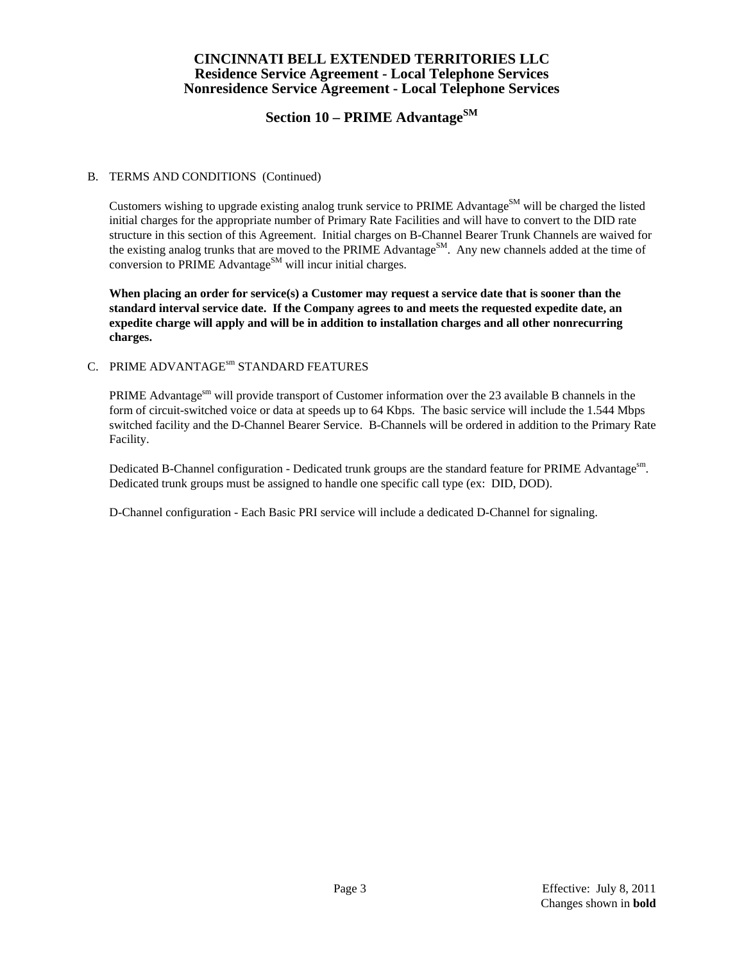# **Section 10 – PRIME AdvantageSM**

#### B. TERMS AND CONDITIONS (Continued)

Customers wishing to upgrade existing analog trunk service to PRIME Advantage<sup>SM</sup> will be charged the listed initial charges for the appropriate number of Primary Rate Facilities and will have to convert to the DID rate structure in this section of this Agreement. Initial charges on B-Channel Bearer Trunk Channels are waived for the existing analog trunks that are moved to the PRIME Advantage<sup>SM</sup>. Any new channels added at the time of conversion to  $PRIME$   $Advantage^{SM}$  will incur initial charges.

**When placing an order for service(s) a Customer may request a service date that is sooner than the standard interval service date. If the Company agrees to and meets the requested expedite date, an expedite charge will apply and will be in addition to installation charges and all other nonrecurring charges.** 

#### C. PRIME ADVANTAGE<sup>sm</sup> STANDARD FEATURES

PRIME Advantages<sup>m</sup> will provide transport of Customer information over the 23 available B channels in the form of circuit-switched voice or data at speeds up to 64 Kbps. The basic service will include the 1.544 Mbps switched facility and the D-Channel Bearer Service. B-Channels will be ordered in addition to the Primary Rate Facility.

Dedicated B-Channel configuration - Dedicated trunk groups are the standard feature for PRIME Advantage<sup>sm</sup>. Dedicated trunk groups must be assigned to handle one specific call type (ex: DID, DOD).

D-Channel configuration - Each Basic PRI service will include a dedicated D-Channel for signaling.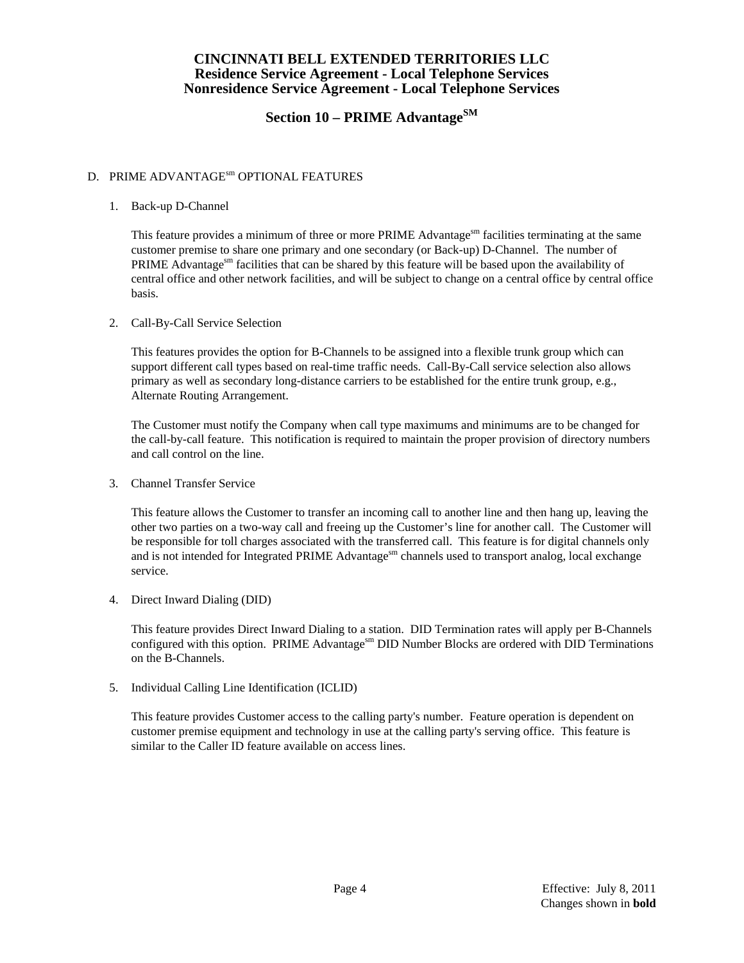# **Section 10 – PRIME AdvantageSM**

## D. PRIME ADVANTAGE<sup>sm</sup> OPTIONAL FEATURES

#### 1. Back-up D-Channel

This feature provides a minimum of three or more PRIME Advantages as facilities terminating at the same customer premise to share one primary and one secondary (or Back-up) D-Channel. The number of PRIME Advantages find facilities that can be shared by this feature will be based upon the availability of central office and other network facilities, and will be subject to change on a central office by central office basis.

2. Call-By-Call Service Selection

 This features provides the option for B-Channels to be assigned into a flexible trunk group which can support different call types based on real-time traffic needs. Call-By-Call service selection also allows primary as well as secondary long-distance carriers to be established for the entire trunk group, e.g., Alternate Routing Arrangement.

 The Customer must notify the Company when call type maximums and minimums are to be changed for the call-by-call feature. This notification is required to maintain the proper provision of directory numbers and call control on the line.

3. Channel Transfer Service

 This feature allows the Customer to transfer an incoming call to another line and then hang up, leaving the other two parties on a two-way call and freeing up the Customer's line for another call. The Customer will be responsible for toll charges associated with the transferred call. This feature is for digital channels only and is not intended for Integrated PRIME Advantage<sup>sm</sup> channels used to transport analog, local exchange service.

4. Direct Inward Dialing (DID)

 This feature provides Direct Inward Dialing to a station. DID Termination rates will apply per B-Channels configured with this option. PRIME Advantage<sup>sm</sup> DID Number Blocks are ordered with DID Terminations on the B-Channels.

5. Individual Calling Line Identification (ICLID)

 This feature provides Customer access to the calling party's number. Feature operation is dependent on customer premise equipment and technology in use at the calling party's serving office. This feature is similar to the Caller ID feature available on access lines.